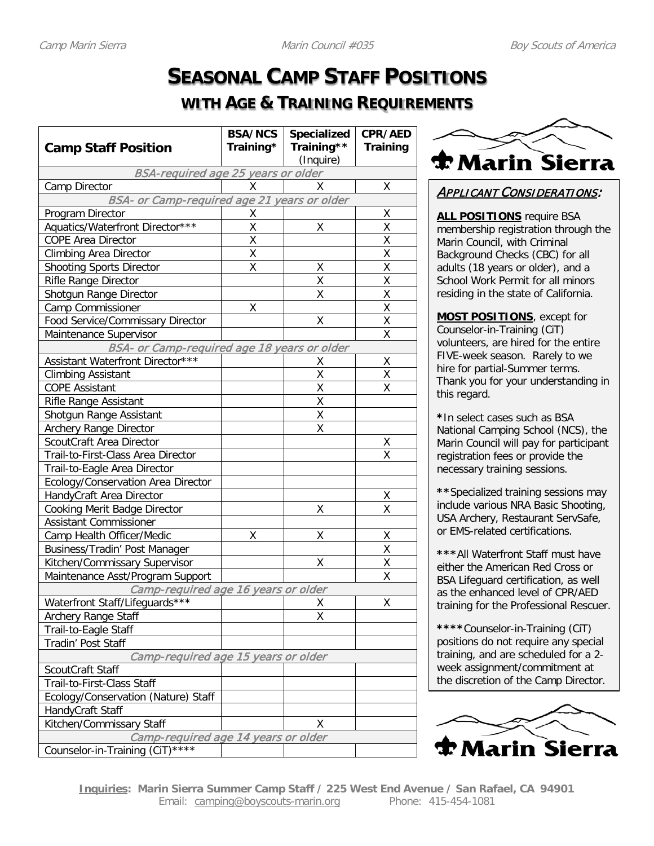## **SEASONAL CAMP STAFF POSITIONS**

### **WITH AGE & TRAINING REQUIREMENTS**

|                                                    | <b>BSA/NCS</b> | <b>Specialized</b> | <b>CPR/AED</b>          |
|----------------------------------------------------|----------------|--------------------|-------------------------|
| <b>Camp Staff Position</b>                         | Training*      | Training**         | <b>Training</b>         |
|                                                    |                | (Inquire)          |                         |
| <b>BSA-required age 25 years or older</b>          |                |                    |                         |
| Camp Director                                      | x              | X                  | χ                       |
| BSA- or Camp-required age 21 years or older        |                |                    |                         |
| Program Director                                   | Χ              |                    | Χ                       |
| Aquatics/Waterfront Director***                    | χ              | Χ                  | Χ                       |
| COPE Area Director                                 | Χ              |                    | Χ                       |
| <b>Climbing Area Director</b>                      | Χ              |                    | Χ                       |
| <b>Shooting Sports Director</b>                    | Χ              | Χ                  | X                       |
| Rifle Range Director                               |                | Χ                  | $\overline{\mathsf{x}}$ |
| Shotgun Range Director                             |                | Χ                  | Χ                       |
| Camp Commissioner                                  | Χ              |                    | Χ                       |
| Food Service/Commissary Director                   |                | Χ                  | X                       |
| Maintenance Supervisor                             |                |                    | X                       |
| <b>BSA- or Camp-required age 18 years or older</b> |                |                    |                         |
| Assistant Waterfront Director***                   |                | Χ                  | Χ                       |
| <b>Climbing Assistant</b>                          |                | Χ                  | Χ                       |
| <b>COPE Assistant</b>                              |                | X                  | X                       |
| <b>Rifle Range Assistant</b>                       |                | Χ                  |                         |
| Shotgun Range Assistant                            |                | Χ                  |                         |
| <b>Archery Range Director</b>                      |                | X                  |                         |
| ScoutCraft Area Director                           |                |                    | χ                       |
| Trail-to-First-Class Area Director                 |                |                    | χ                       |
| Trail-to-Eagle Area Director                       |                |                    |                         |
| Ecology/Conservation Area Director                 |                |                    |                         |
| HandyCraft Area Director                           |                |                    | Χ                       |
| Cooking Merit Badge Director                       |                | Χ                  | Χ                       |
| Assistant Commissioner                             |                |                    |                         |
| Camp Health Officer/Medic                          | Χ              | Χ                  | χ                       |
| Business/Tradin' Post Manager                      |                |                    | X                       |
| Kitchen/Commissary Supervisor                      |                | Χ                  | X                       |
| Maintenance Asst/Program Support                   |                |                    | Χ                       |
| Camp-required age 16 years or older                |                |                    |                         |
| Waterfront Staff/Lifequards***                     |                | X.                 | X                       |
| <b>Archery Range Staff</b>                         |                | Χ                  |                         |
| Trail-to-Eagle Staff                               |                |                    |                         |
| Tradin' Post Staff                                 |                |                    |                         |
| Camp-required age 15 years or older                |                |                    |                         |
| ScoutCraft Staff                                   |                |                    |                         |
| Trail-to-First-Class Staff                         |                |                    |                         |
| Ecology/Conservation (Nature) Staff                |                |                    |                         |
| HandyCraft Staff                                   |                |                    |                         |
| Kitchen/Commissary Staff                           |                | X                  |                         |
| Camp-required age 14 years or older                |                |                    |                         |
| $***$ *<br>Counselor-in-Training (CiT)             |                |                    |                         |



#### APPLICANT CONSIDERATIONS:

**ALL POSITIONS** require BSA membership registration through the Marin Council, with Criminal Background Checks (CBC) for all adults (18 years or older), and a School Work Permit for all minors residing in the state of California.

**MOST POSITIONS**, except for Counselor-in-Training (CiT) volunteers, are hired for the entire FIVE-week season. Rarely to we hire for partial-Summer terms. Thank you for your understanding in this regard.

**\***In select cases such as BSA National Camping School (NCS), the Marin Council will pay for participant registration fees or provide the necessary training sessions.

**\*\***Specialized training sessions may include various NRA Basic Shooting, USA Archery, Restaurant ServSafe, or EMS-related certifications.

**\*\*\***All Waterfront Staff must have either the American Red Cross or BSA Lifeguard certification, as well as the enhanced level of CPR/AED training for the Professional Rescuer.

**\*\*\*\***Counselor-in-Training (CiT) positions do not require any special training, and are scheduled for a 2 week assignment/commitment at the discretion of the Camp Director.

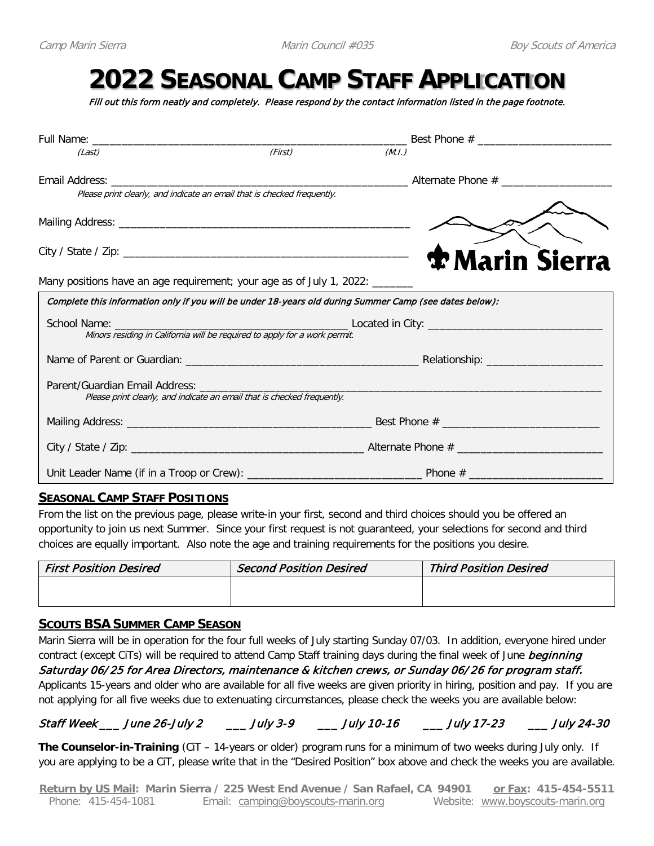# **2022 SEASONAL CAMP STAFF APPLICATION**

Fill out this form neatly and completely. Please respond by the contact information listed in the page footnote.

| (Last)                                                                                                 | (First)                                                                    | (M.I.) |                         |
|--------------------------------------------------------------------------------------------------------|----------------------------------------------------------------------------|--------|-------------------------|
|                                                                                                        |                                                                            |        |                         |
|                                                                                                        | Please print clearly, and indicate an email that is checked frequently.    |        |                         |
|                                                                                                        |                                                                            |        |                         |
|                                                                                                        |                                                                            |        | <b>The Marin Sierra</b> |
| Many positions have an age requirement; your age as of July 1, 2022: ______                            |                                                                            |        |                         |
| Complete this information only if you will be under 18-years old during Summer Camp (see dates below): |                                                                            |        |                         |
|                                                                                                        | Minors residing in California will be required to apply for a work permit. |        |                         |
|                                                                                                        |                                                                            |        |                         |
|                                                                                                        | Please print clearly, and indicate an email that is checked frequently.    |        |                         |
|                                                                                                        |                                                                            |        |                         |
|                                                                                                        |                                                                            |        |                         |
|                                                                                                        |                                                                            |        |                         |

#### **SEASONAL CAMP STAFF POSITIONS**

From the list on the previous page, please write-in your first, second and third choices should you be offered an opportunity to join us next Summer. Since your first request is not guaranteed, your selections for second and third choices are equally important. Also note the age and training requirements for the positions you desire.

| <b>First Position Desired</b> | <b>Second Position Desired</b> | <b>Third Position Desired</b> |
|-------------------------------|--------------------------------|-------------------------------|
|                               |                                |                               |
|                               |                                |                               |

#### **SCOUTS BSA SUMMER CAMP SEASON**

Marin Sierra will be in operation for the four full weeks of July starting Sunday 07/03. In addition, everyone hired under contract (except CiTs) will be required to attend Camp Staff training days during the final week of June beginning Saturday 06/25 for Area Directors, maintenance & kitchen crews, or Sunday 06/ 26 for program staff. Applicants 15-years and older who are available for all five weeks are given priority in hiring, position and pay. If you are not applying for all five weeks due to extenuating circumstances, please check the weeks you are available below:

Staff Week \_\_\_ June 26-July 2 \_\_\_ July 3-9 \_\_\_ July 10-16 \_\_\_ July 17-23 \_\_\_ July 24-30

**The Counselor-in-Training** (CiT – 14-years or older) program runs for a minimum of two weeks during July only. If you are applying to be a CiT, please write that in the "Desired Position" box above and check the weeks you are available.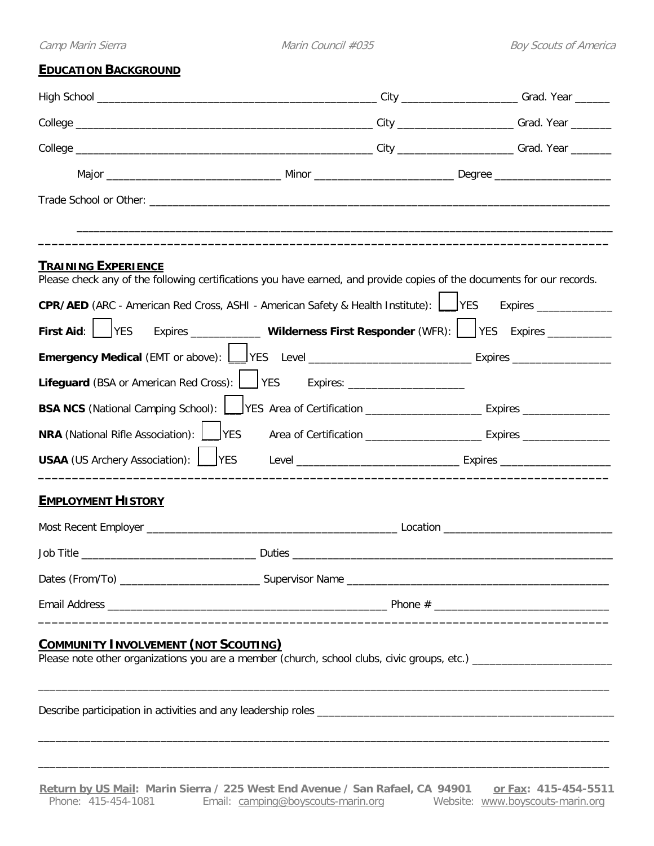#### **EDUCATION BACKGROUND**

| <b>EDUCATION BACKGROUND</b>                  |                                                                                                                                                                                                                  |                                                                                                            |
|----------------------------------------------|------------------------------------------------------------------------------------------------------------------------------------------------------------------------------------------------------------------|------------------------------------------------------------------------------------------------------------|
|                                              |                                                                                                                                                                                                                  |                                                                                                            |
|                                              |                                                                                                                                                                                                                  |                                                                                                            |
|                                              |                                                                                                                                                                                                                  |                                                                                                            |
|                                              |                                                                                                                                                                                                                  |                                                                                                            |
|                                              |                                                                                                                                                                                                                  |                                                                                                            |
| <b>TRAINING EXPERIENCE</b>                   | Please check any of the following certifications you have earned, and provide copies of the documents for our records.<br>CPR/AED (ARC - American Red Cross, ASHI - American Safety & Health Institute): \ \ VES | Expires ________________                                                                                   |
| <b>First Aid:</b> $ $ <b>PFS</b>             |                                                                                                                                                                                                                  | Expires ______________ Wilderness First Responder (WFR): VES Expires __________                            |
|                                              |                                                                                                                                                                                                                  |                                                                                                            |
|                                              | Lifeguard (BSA or American Red Cross): VES Expires: ______________________                                                                                                                                       |                                                                                                            |
|                                              |                                                                                                                                                                                                                  | BSA NCS (National Camping School): VES Area of Certification ____________________ Expires ________________ |
| <b>NRA</b> (National Rifle Association): VES |                                                                                                                                                                                                                  |                                                                                                            |
| <b>USAA</b> (US Archery Association): USAA   |                                                                                                                                                                                                                  |                                                                                                            |
| <b>EMPLOYMENT HISTORY</b>                    |                                                                                                                                                                                                                  |                                                                                                            |
|                                              |                                                                                                                                                                                                                  |                                                                                                            |
|                                              |                                                                                                                                                                                                                  |                                                                                                            |
|                                              |                                                                                                                                                                                                                  |                                                                                                            |
|                                              |                                                                                                                                                                                                                  |                                                                                                            |
| <b>COMMUNITY INVOLVEMENT (NOT SCOUTING)</b>  |                                                                                                                                                                                                                  |                                                                                                            |
|                                              |                                                                                                                                                                                                                  |                                                                                                            |

\_\_\_\_\_\_\_\_\_\_\_\_\_\_\_\_\_\_\_\_\_\_\_\_\_\_\_\_\_\_\_\_\_\_\_\_\_\_\_\_\_\_\_\_\_\_\_\_\_\_\_\_\_\_\_\_\_\_\_\_\_\_\_\_\_\_\_\_\_\_\_\_\_\_\_\_\_\_\_\_\_\_\_\_\_\_\_\_\_\_\_\_\_\_\_\_\_\_

 $\overline{\phantom{a}}$  , and the set of the set of the set of the set of the set of the set of the set of the set of the set of the set of the set of the set of the set of the set of the set of the set of the set of the set of the s